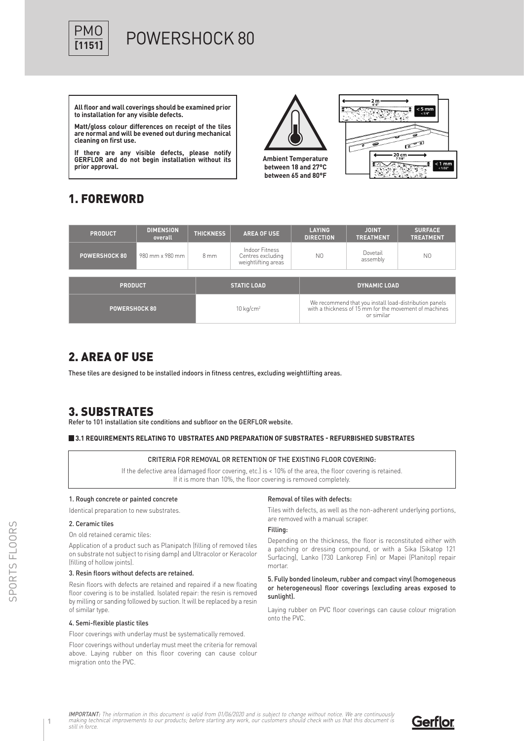

# POWERSHOCK 80

**All floor and wall coverings should be examined prior to installation for any visible defects.**

**Matt/gloss colour differences on receipt of the tiles are normal and will be evened out during mechanical cleaning on first use.**

**If there are any visible defects, please notify GERFLOR and do not begin installation without its prior approval.**

**Ambient Temperature between 18 and 27°C between 65 and 80°F**



# 1. FOREWORD

| <b>PRODUCT</b>       | <b>DIMENSION</b><br>overall | <b>THICKNESS</b> | <b>AREA OF USE</b>                                         | <b>LAYING</b><br><b>DIRECTION</b> | <b>JOINT</b><br><b>TREATMENT</b>                                                                                               | <b>SURFACE</b><br><b>TREATMENT</b> |  |  |
|----------------------|-----------------------------|------------------|------------------------------------------------------------|-----------------------------------|--------------------------------------------------------------------------------------------------------------------------------|------------------------------------|--|--|
| <b>POWERSHOCK 80</b> | 980 mm x 980 mm             | $8 \text{ mm}$   | Indoor Fitness<br>Centres excluding<br>weightlifting areas | N <sub>0</sub>                    | Dovetail<br>assembly                                                                                                           | N <sub>0</sub>                     |  |  |
| <b>PRODUCT</b>       |                             |                  | <b>STATIC LOAD</b>                                         |                                   | <b>DYNAMIC LOAD</b>                                                                                                            |                                    |  |  |
| <b>POWERSHOCK 80</b> |                             |                  | $10 \text{ kg/cm}^2$                                       |                                   | We recommend that you install load-distribution panels<br>with a thickness of 15 mm for the movement of machines<br>or similar |                                    |  |  |

## 2. AREA OF USE

These tiles are designed to be installed indoors in fitness centres, excluding weightlifting areas.

## 3. SUBSTRATES

Refer to 101 installation site conditions and subfloor on the GERFLOR website.

#### **3.1 REQUIREMENTS RELATING TO UBSTRATES AND PREPARATION OF SUBSTRATES - REFURBISHED SUBSTRATES**

#### CRITERIA FOR REMOVAL OR RETENTION OF THE EXISTING FLOOR COVERING:

If the defective area (damaged floor covering, etc.) is < 10% of the area, the floor covering is retained. If it is more than 10%, the floor covering is removed completely.

#### 1. Rough concrete or painted concrete

Identical preparation to new substrates.

### 2. Ceramic tiles

On old retained ceramic tiles:

Application of a product such as Planipatch (filling of removed tiles on substrate not subject to rising damp) and Ultracolor or Keracolor (filling of hollow joints).

### 3. Resin floors without defects are retained.

Resin floors with defects are retained and repaired if a new floating floor covering is to be installed. Isolated repair: the resin is removed by milling or sanding followed by suction. It will be replaced by a resin of similar type.

#### 4. Semi-flexible plastic tiles

Floor coverings with underlay must be systematically removed.

Floor coverings without underlay must meet the criteria for removal above. Laying rubber on this floor covering can cause colour migration onto the PVC.

#### Removal of tiles with defects:

Tiles with defects, as well as the non-adherent underlying portions, are removed with a manual scraper.

#### Filling:

Depending on the thickness, the floor is reconstituted either with a patching or dressing compound, or with a Sika (Sikatop 121 Surfacing), Lanko (730 Lankorep Fin) or Mapei (Planitop) repair mortar.

#### 5. Fully bonded linoleum, rubber and compact vinyl (homogeneous or heterogeneous) floor coverings (excluding areas exposed to sunlight).

Laying rubber on PVC floor coverings can cause colour migration onto the PVC.

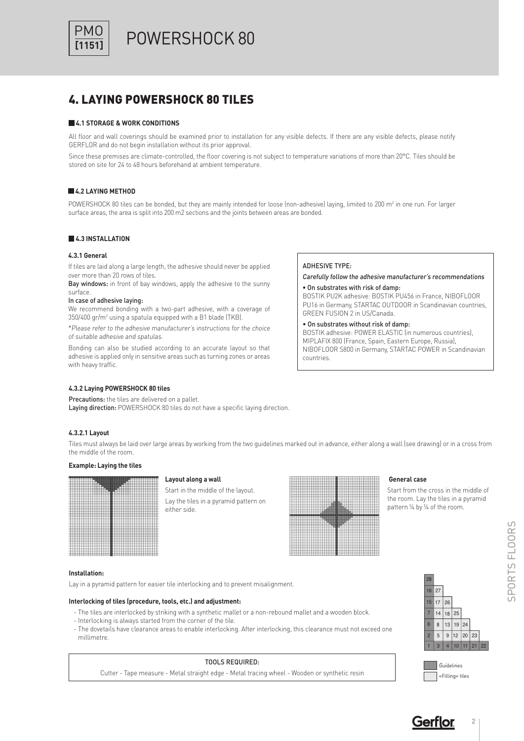

POWERSHOCK 80

## 4. LAYING POWERSHOCK 80 TILES

### **4.1 STORAGE & WORK CONDITIONS**

All floor and wall coverings should be examined prior to installation for any visible defects. If there are any visible defects, please notify GERFLOR and do not begin installation without its prior approval.

Since these premises are climate-controlled, the floor covering is not subject to temperature variations of more than 20°C. Tiles should be stored on site for 24 to 48 hours beforehand at ambient temperature.

#### **4.2 LAYING METHOD**

POWERSHOCK 80 tiles can be bonded, but they are mainly intended for loose (non-adhesive) laying, limited to 200 m<sup>2</sup> in one run. For larger surface areas, the area is split into 200 m2 sections and the joints between areas are bonded.

#### **4.3 INSTALLATION**

#### **4.3.1 General**

If tiles are laid along a large length, the adhesive should never be applied over more than 20 rows of tiles.

Bay windows: in front of bay windows, apply the adhesive to the sunny surface.

#### In case of adhesive laying:

We recommend bonding with a two-part adhesive, with a coverage of  $350/400$  gr/m<sup>2</sup> using a spatula equipped with a B1 blade (TKB).

\*Please refer to the adhesive manufacturer's instructions for the choice of suitable adhesive and spatulas.

Bonding can also be studied according to an accurate layout so that adhesive is applied only in sensitive areas such as turning zones or areas with heavy traffic.

#### **4.3.2 Laying POWERSHOCK 80 tiles**

#### Precautions: the tiles are delivered on a pallet.

Laying direction: POWERSHOCK 80 tiles do not have a specific laying direction.

#### **4.3.2.1 Layout**

Tiles must always be laid over large areas by working from the two guidelines marked out in advance, either along a wall (see drawing) or in a cross from the middle of the room.

#### **Example: Laying the tiles**



#### **Layout along a wall**

Start in the middle of the layout. Lay the tiles in a pyramid pattern on either side.



ADHESIVE TYPE:

countries.

• On substrates with risk of damp:

GREEN FUSION 2 in US/Canada. • On substrates without risk of damp:

### **General case**

Carefully follow the adhesive manufacturer's recommendations

BOSTIK PU2K adhesive: BOSTIK PU456 in France, NIBOFLOOR PU16 in Germany, STARTAC OUTDOOR in Scandinavian countries,

BOSTIK adhesive: POWER ELASTIC (in numerous countries), MIPLAFIX 800 (France, Spain, Eastern Europe, Russia), NIBOFLOOR S800 in Germany, STARTAC POWER in Scandinavian

> Start from the cross in the middle of the room. Lay the tiles in a pyramid pattern ¼ by ¼ of the room.

#### **Installation:**

Lay in a pyramid pattern for easier tile interlocking and to prevent misalignment.

#### **Interlocking of tiles (procedure, tools, etc.) and adjustment:**

- The tiles are interlocked by striking with a synthetic mallet or a non-rebound mallet and a wooden block.
- Interlocking is always started from the corner of the tile.
- The dovetails have clearance areas to enable interlocking. After interlocking, this clearance must not exceed one millimetre.

#### 5 8 14 17 9 13 18  $12$ 19  $20$ 3 4 10 11 21 22 24 25 26 16 27 28 6 7 1 2 15

|  | Guidelines      |
|--|-----------------|
|  | «Filling» tiles |

| <b>TOOLS REQUIRED:</b>                                                                        |  |
|-----------------------------------------------------------------------------------------------|--|
| Cutter - Tape measure - Metal straight edge - Metal tracing wheel - Wooden or synthetic resin |  |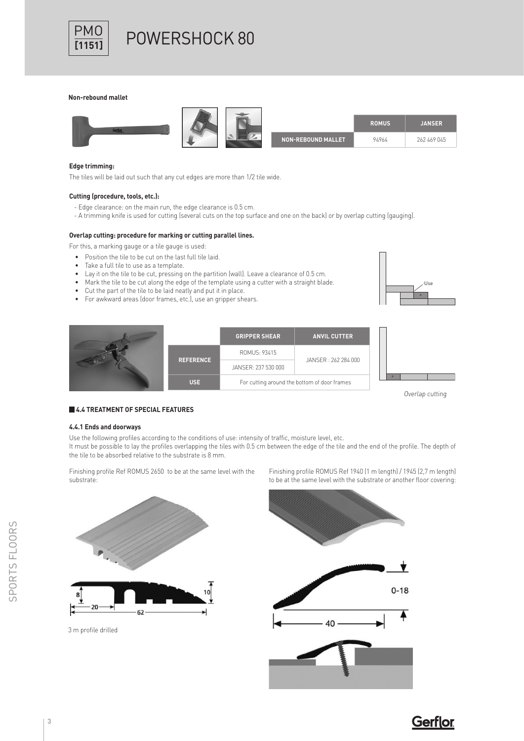

# $\frac{PMO}{M153}$  POWERSHOCK 80

#### **Non-rebound mallet**



#### **Edge trimming:**

The tiles will be laid out such that any cut edges are more than 1/2 tile wide.

#### **Cutting (procedure, tools, etc.):**

- Edge clearance: on the main run, the edge clearance is 0.5 cm.
- A trimming knife is used for cutting (several cuts on the top surface and one on the back) or by overlap cutting (gauging).

#### **Overlap cutting: procedure for marking or cutting parallel lines.**

- For this, a marking gauge or a tile gauge is used:
	- Position the tile to be cut on the last full tile laid.
	- Take a full tile to use as a template.
	- Lay it on the tile to be cut, pressing on the partition (wall). Leave a clearance of 0.5 cm.
	- Mark the tile to be cut along the edge of the template using a cutter with a straight blade.
	- Cut the part of the tile to be laid neatly and put it in place.
	- For awkward areas (door frames, etc.), use an gripper shears.



|  |                  | <b>GRIPPER SHEAR</b>                         | <b>ANVIL CUTTER</b> |  |  |
|--|------------------|----------------------------------------------|---------------------|--|--|
|  | <b>REFERENCE</b> | ROMUS: 93415                                 | JANSER: 262 284 000 |  |  |
|  |                  | JANSER: 237 530 000                          |                     |  |  |
|  | <b>USE</b>       | For cutting around the bottom of door frames |                     |  |  |

Overlap cutting

#### **4.4 TREATMENT OF SPECIAL FEATURES**

#### **4.4.1 Ends and doorways**

Use the following profiles according to the conditions of use: intensity of traffic, moisture level, etc.

It must be possible to lay the profiles overlapping the tiles with 0.5 cm between the edge of the tile and the end of the profile. The depth of the tile to be absorbed relative to the substrate is 8 mm.

Finishing profile Ref ROMUS 2650 to be at the same level with the substrate:



3 m profile drilled

Finishing profile ROMUS Ref 1940 (1 m length) / 1945 (2,7 m length) to be at the same level with the substrate or another floor covering: